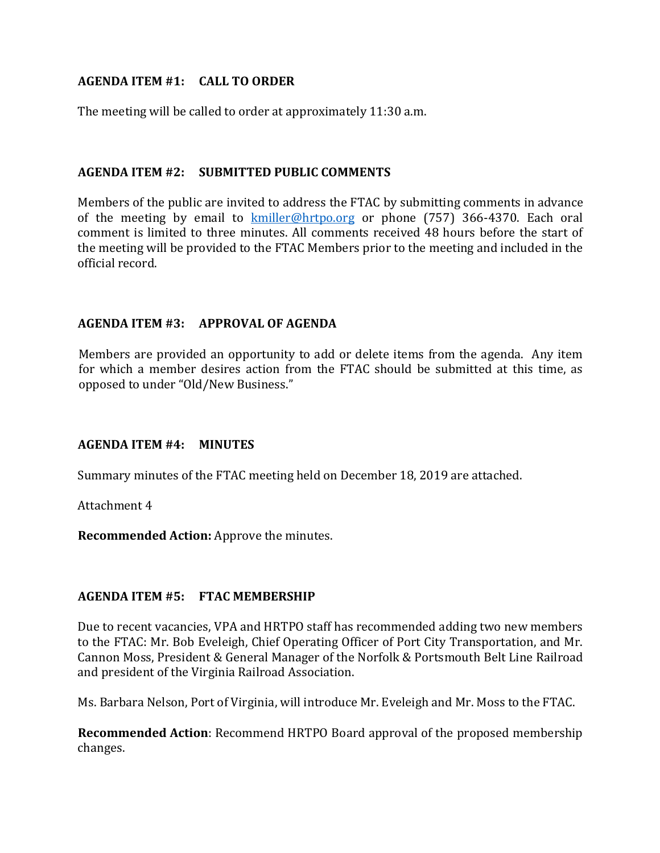# **AGENDA ITEM #1: CALL TO ORDER**

The meeting will be called to order at approximately 11:30 a.m.

## **AGENDA ITEM #2: SUBMITTED PUBLIC COMMENTS**

Members of the public are invited to address the FTAC by submitting comments in advance of the meeting by email to  $kmiller@hrtpo.org$  or phone (757) 366-4370. Each oral comment is limited to three minutes. All comments received 48 hours before the start of the meeting will be provided to the FTAC Members prior to the meeting and included in the official record.

## **AGENDA ITEM #3: APPROVAL OF AGENDA**

Members are provided an opportunity to add or delete items from the agenda. Any item for which a member desires action from the FTAC should be submitted at this time, as opposed to under "Old/New Business."

## **AGENDA ITEM #4: MINUTES**

Summary minutes of the FTAC meeting held on December 18, 2019 are attached.

Attachment 4

**Recommended Action:** Approve the minutes.

## **AGENDA ITEM #5: FTAC MEMBERSHIP**

Due to recent vacancies, VPA and HRTPO staff has recommended adding two new members to the FTAC: Mr. Bob Eveleigh, Chief Operating Officer of Port City Transportation, and Mr. Cannon Moss, President & General Manager of the Norfolk & Portsmouth Belt Line Railroad and president of the Virginia Railroad Association.

Ms. Barbara Nelson, Port of Virginia, will introduce Mr. Eveleigh and Mr. Moss to the FTAC.

**Recommended Action**: Recommend HRTPO Board approval of the proposed membership changes.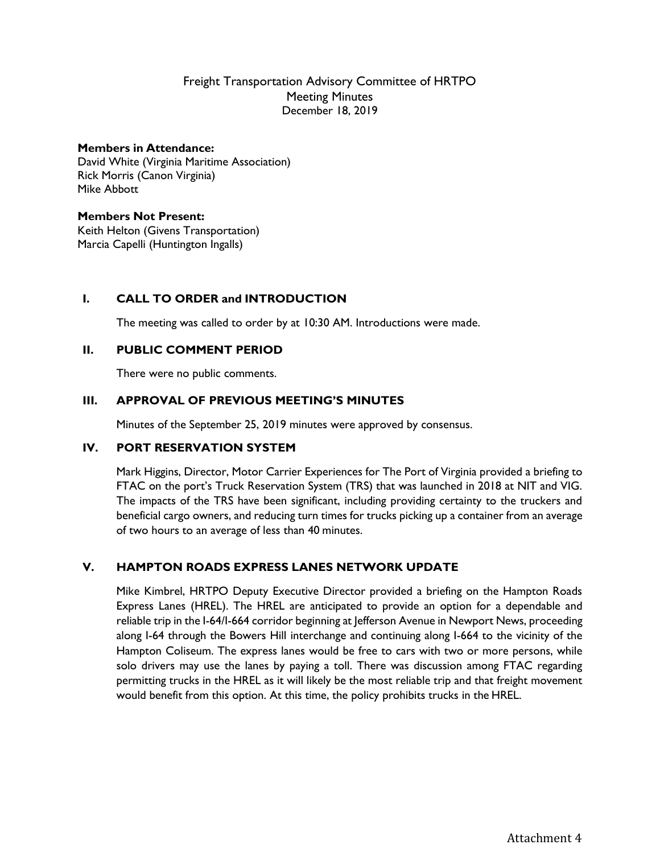## Freight Transportation Advisory Committee of HRTPO Meeting Minutes December 18, 2019

#### **Members in Attendance:**

David White (Virginia Maritime Association) Rick Morris (Canon Virginia) Mike Abbott

#### **Members Not Present:**

Keith Helton (Givens Transportation) Marcia Capelli (Huntington Ingalls)

## **I. CALL TO ORDER and INTRODUCTION**

The meeting was called to order by at 10:30 AM. Introductions were made.

#### **II. PUBLIC COMMENT PERIOD**

There were no public comments.

#### **III. APPROVAL OF PREVIOUS MEETING'S MINUTES**

Minutes of the September 25, 2019 minutes were approved by consensus.

#### **IV. PORT RESERVATION SYSTEM**

Mark Higgins, Director, Motor Carrier Experiences for The Port of Virginia provided a briefing to FTAC on the port's Truck Reservation System (TRS) that was launched in 2018 at NIT and VIG. The impacts of the TRS have been significant, including providing certainty to the truckers and beneficial cargo owners, and reducing turn times for trucks picking up a container from an average of two hours to an average of less than 40 minutes.

#### **V. HAMPTON ROADS EXPRESS LANES NETWORK UPDATE**

Mike Kimbrel, HRTPO Deputy Executive Director provided a briefing on the Hampton Roads Express Lanes (HREL). The HREL are anticipated to provide an option for a dependable and reliable trip in the I-64/I-664 corridor beginning at Jefferson Avenue in Newport News, proceeding along I-64 through the Bowers Hill interchange and continuing along I-664 to the vicinity of the Hampton Coliseum. The express lanes would be free to cars with two or more persons, while solo drivers may use the lanes by paying a toll. There was discussion among FTAC regarding permitting trucks in the HREL as it will likely be the most reliable trip and that freight movement would benefit from this option. At this time, the policy prohibits trucks in the HREL.